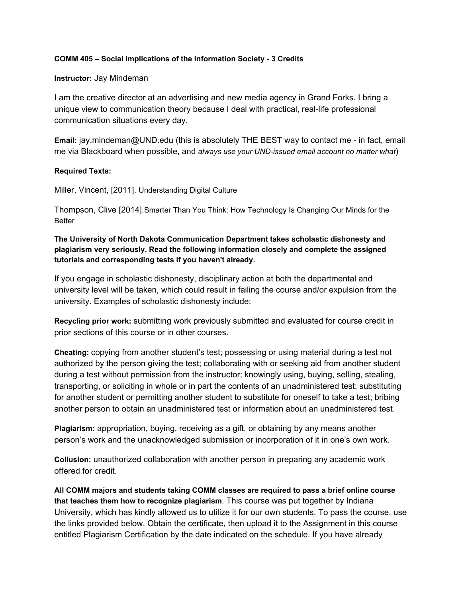### **COMM 405 – Social Implications of the Information Society - 3 Credits**

### **Instructor:** Jay Mindeman

I am the creative director at an advertising and new media agency in Grand Forks. I bring a unique view to communication theory because I deal with practical, real-life professional communication situations every day.

**Email:** jay.mindeman@UND.edu (this is absolutely THE BEST way to contact me - in fact, email me via Blackboard when possible, and *always use your UND-issued email account no matter what*)

## **Required Texts:**

Miller, Vincent, [2011]. Understanding Digital Culture

Thompson, Clive [2014].Smarter Than You Think: How Technology Is Changing Our Minds for the Better

**The University of North Dakota Communication Department takes scholastic dishonesty and plagiarism very seriously. Read the following information closely and complete the assigned tutorials and corresponding tests if you haven't already.**

If you engage in scholastic dishonesty, disciplinary action at both the departmental and university level will be taken, which could result in failing the course and/or expulsion from the university. Examples of scholastic dishonesty include:

**Recycling prior work:** submitting work previously submitted and evaluated for course credit in prior sections of this course or in other courses.

**Cheating:** copying from another student's test; possessing or using material during a test not authorized by the person giving the test; collaborating with or seeking aid from another student during a test without permission from the instructor; knowingly using, buying, selling, stealing, transporting, or soliciting in whole or in part the contents of an unadministered test; substituting for another student or permitting another student to substitute for oneself to take a test; bribing another person to obtain an unadministered test or information about an unadministered test.

**Plagiarism:** appropriation, buying, receiving as a gift, or obtaining by any means another person's work and the unacknowledged submission or incorporation of it in one's own work.

**Collusion:** unauthorized collaboration with another person in preparing any academic work offered for credit.

**All COMM majors and students taking COMM classes are required to pass a brief online course that teaches them how to recognize plagiarism**. This course was put together by Indiana University, which has kindly allowed us to utilize it for our own students. To pass the course, use the links provided below. Obtain the certificate, then upload it to the Assignment in this course entitled Plagiarism Certification by the date indicated on the schedule. If you have already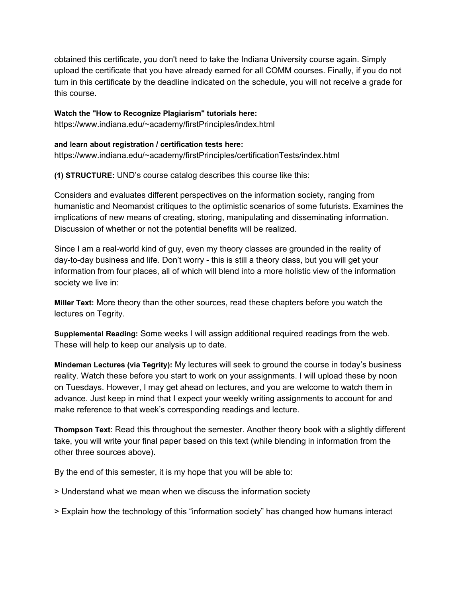obtained this certificate, you don't need to take the Indiana University course again. Simply upload the certificate that you have already earned for all COMM courses. Finally, if you do not turn in this certificate by the deadline indicated on the schedule, you will not receive a grade for this course.

**Watch the "How to Recognize Plagiarism" tutorials here:**

https://www.indiana.edu/~academy/firstPrinciples/index.html

# **and learn about registration / certification tests here:**

https://www.indiana.edu/~academy/firstPrinciples/certificationTests/index.html

**(1) STRUCTURE:** UND's course catalog describes this course like this:

Considers and evaluates different perspectives on the information society, ranging from humanistic and Neomarxist critiques to the optimistic scenarios of some futurists. Examines the implications of new means of creating, storing, manipulating and disseminating information. Discussion of whether or not the potential benefits will be realized.

Since I am a real-world kind of guy, even my theory classes are grounded in the reality of day-to-day business and life. Don't worry - this is still a theory class, but you will get your information from four places, all of which will blend into a more holistic view of the information society we live in:

**Miller Text:** More theory than the other sources, read these chapters before you watch the lectures on Tegrity.

**Supplemental Reading:** Some weeks I will assign additional required readings from the web. These will help to keep our analysis up to date.

**Mindeman Lectures (via Tegrity):** My lectures will seek to ground the course in today's business reality. Watch these before you start to work on your assignments. I will upload these by noon on Tuesdays. However, I may get ahead on lectures, and you are welcome to watch them in advance. Just keep in mind that I expect your weekly writing assignments to account for and make reference to that week's corresponding readings and lecture.

**Thompson Text**: Read this throughout the semester. Another theory book with a slightly different take, you will write your final paper based on this text (while blending in information from the other three sources above).

By the end of this semester, it is my hope that you will be able to:

> Understand what we mean when we discuss the information society

> Explain how the technology of this "information society" has changed how humans interact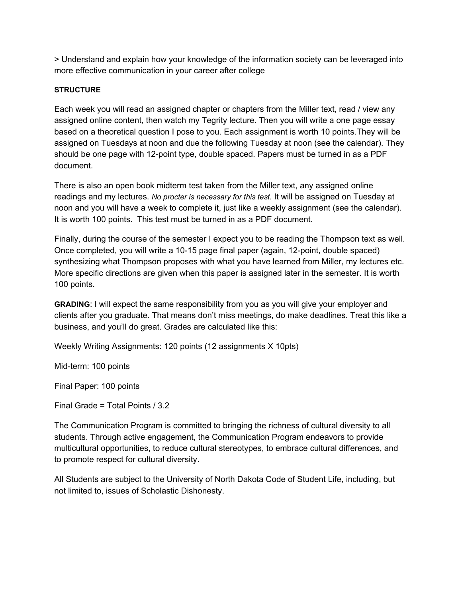> Understand and explain how your knowledge of the information society can be leveraged into more effective communication in your career after college

## **STRUCTURE**

Each week you will read an assigned chapter or chapters from the Miller text, read / view any assigned online content, then watch my Tegrity lecture. Then you will write a one page essay based on a theoretical question I pose to you. Each assignment is worth 10 points.They will be assigned on Tuesdays at noon and due the following Tuesday at noon (see the calendar). They should be one page with 12-point type, double spaced. Papers must be turned in as a PDF document.

There is also an open book midterm test taken from the Miller text, any assigned online readings and my lectures. *No procter is necessary for this test.* It will be assigned on Tuesday at noon and you will have a week to complete it, just like a weekly assignment (see the calendar). It is worth 100 points. This test must be turned in as a PDF document.

Finally, during the course of the semester I expect you to be reading the Thompson text as well. Once completed, you will write a 10-15 page final paper (again, 12-point, double spaced) synthesizing what Thompson proposes with what you have learned from Miller, my lectures etc. More specific directions are given when this paper is assigned later in the semester. It is worth 100 points.

**GRADING**: I will expect the same responsibility from you as you will give your employer and clients after you graduate. That means don't miss meetings, do make deadlines. Treat this like a business, and you'll do great. Grades are calculated like this:

Weekly Writing Assignments: 120 points (12 assignments X 10pts)

Mid-term: 100 points

Final Paper: 100 points

Final Grade = Total Points / 3.2

The Communication Program is committed to bringing the richness of cultural diversity to all students. Through active engagement, the Communication Program endeavors to provide multicultural opportunities, to reduce cultural stereotypes, to embrace cultural differences, and to promote respect for cultural diversity.

All Students are subject to the University of North Dakota Code of Student Life, including, but not limited to, issues of Scholastic Dishonesty.